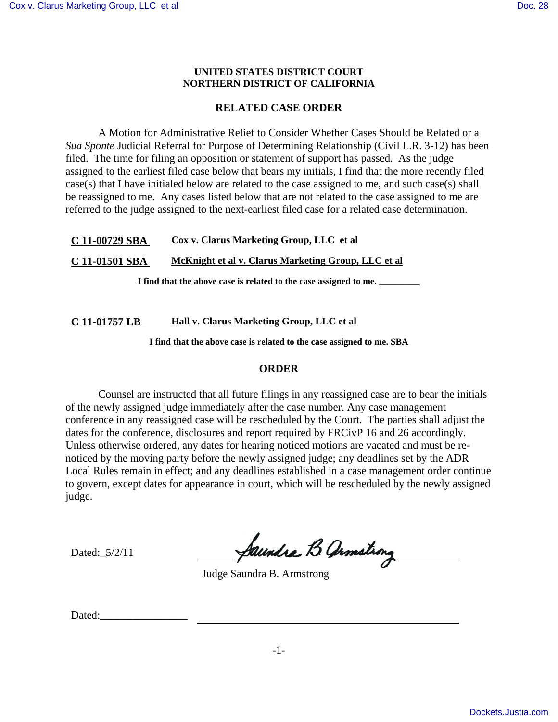#### **UNITED STATES DISTRICT COURT NORTHERN DISTRICT OF CALIFORNIA**

## **RELATED CASE ORDER**

A Motion for Administrative Relief to Consider Whether Cases Should be Related or a *Sua Sponte* Judicial Referral for Purpose of Determining Relationship (Civil L.R. 3-12) has been filed. The time for filing an opposition or statement of support has passed. As the judge assigned to the earliest filed case below that bears my initials, I find that the more recently filed case(s) that I have initialed below are related to the case assigned to me, and such case(s) shall be reassigned to me. Any cases listed below that are not related to the case assigned to me are referred to the judge assigned to the next-earliest filed case for a related case determination.

## **C 11-00729 SBA Cox v. Clarus Marketing Group, LLC et al**

**C 11-01501 SBA McKnight et al v. Clarus Marketing Group, LLC et al**

**I find that the above case is related to the case assigned to me. \_\_\_\_\_\_\_\_\_**

### **C 11-01757 LB Hall v. Clarus Marketing Group, LLC et al**

**I find that the above case is related to the case assigned to me. SBA**

### **ORDER**

Counsel are instructed that all future filings in any reassigned case are to bear the initials of the newly assigned judge immediately after the case number. Any case management conference in any reassigned case will be rescheduled by the Court. The parties shall adjust the dates for the conference, disclosures and report required by FRCivP 16 and 26 accordingly. Unless otherwise ordered, any dates for hearing noticed motions are vacated and must be renoticed by the moving party before the newly assigned judge; any deadlines set by the ADR Local Rules remain in effect; and any deadlines established in a case management order continue to govern, except dates for appearance in court, which will be rescheduled by the newly assigned judge.

Dated:\_5/2/11

Saundre B armstrong

Judge Saundra B. Armstrong

Dated: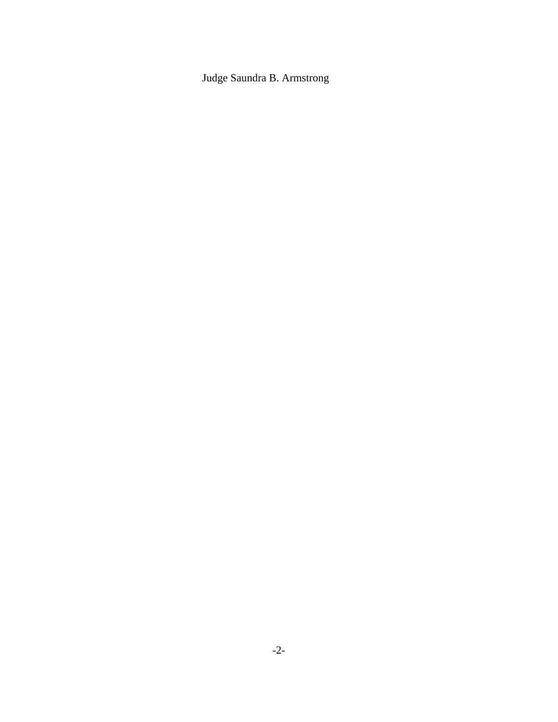Judge Saundra B. Armstrong